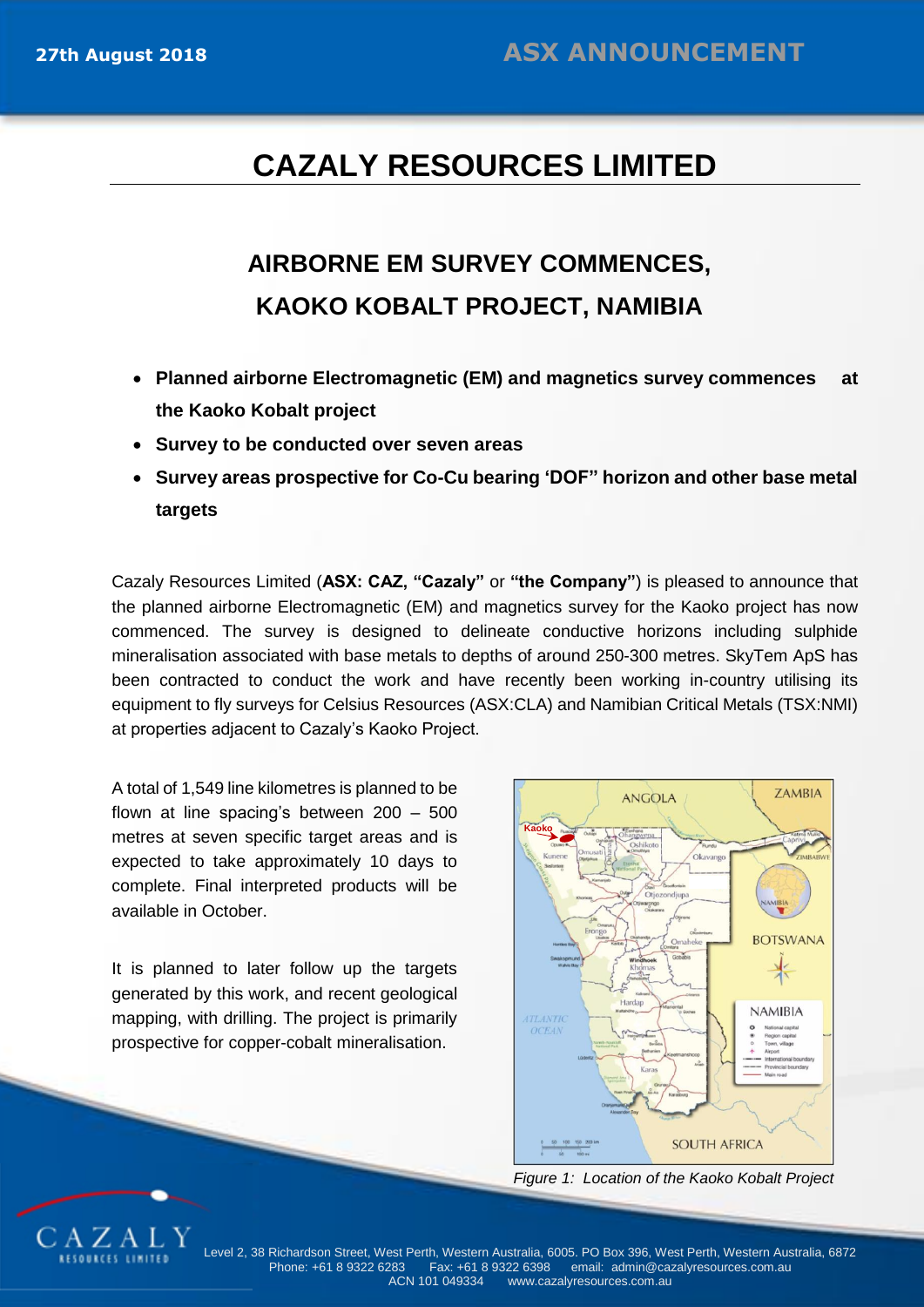## **CAZALY RESOURCES LIMITED**

# **AIRBORNE EM SURVEY COMMENCES, KAOKO KOBALT PROJECT, NAMIBIA**

- **Planned airborne Electromagnetic (EM) and magnetics survey commences at the Kaoko Kobalt project**
- **Survey to be conducted over seven areas**
- **Survey areas prospective for Co-Cu bearing 'DOF" horizon and other base metal targets**

Cazaly Resources Limited (**ASX: CAZ, "Cazaly"** or **"the Company"**) is pleased to announce that the planned airborne Electromagnetic (EM) and magnetics survey for the Kaoko project has now commenced. The survey is designed to delineate conductive horizons including sulphide mineralisation associated with base metals to depths of around 250-300 metres. SkyTem ApS has been contracted to conduct the work and have recently been working in-country utilising its equipment to fly surveys for Celsius Resources (ASX:CLA) and Namibian Critical Metals (TSX:NMI) at properties adjacent to Cazaly's Kaoko Project.

A total of 1,549 line kilometres is planned to be flown at line spacing's between 200 – 500 metres at seven specific target areas and is expected to take approximately 10 days to complete. Final interpreted products will be available in October.

It is planned to later follow up the targets generated by this work, and recent geological mapping, with drilling. The project is primarily prospective for copper-cobalt mineralisation.



*Figure 1: Location of the Kaoko Kobalt Project*



Level 2, 38 Richardson Street, West Perth, Western Australia, 6005. PO Box 396, West Perth, Western Australia, 6872<br>Phone: +61 8 9322 6283 Fax: +61 8 9322 6398 email: admin@cazalyresources.com au Phone: +61 8 9322 6398 email: admin@cazalyresources.com.au<br>ACN 101 049334 www.cazalyresources.com.au www.cazalyresources.com.au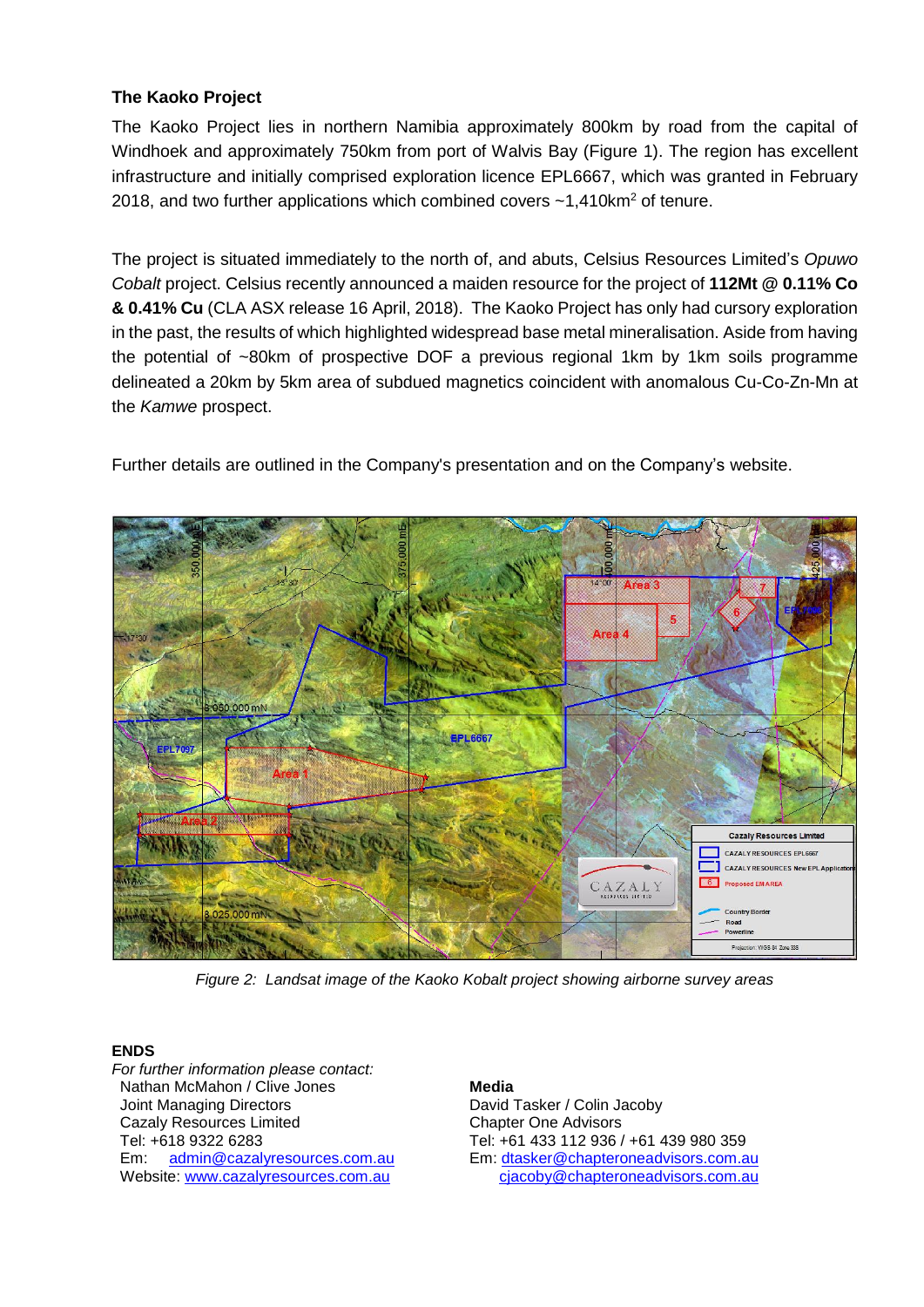### **The Kaoko Project**

The Kaoko Project lies in northern Namibia approximately 800km by road from the capital of Windhoek and approximately 750km from port of Walvis Bay (Figure 1). The region has excellent infrastructure and initially comprised exploration licence EPL6667, which was granted in February 2018, and two further applications which combined covers  $~1,410$ km<sup>2</sup> of tenure.

The project is situated immediately to the north of, and abuts, Celsius Resources Limited's *Opuwo Cobalt* project. Celsius recently announced a maiden resource for the project of **112Mt @ 0.11% Co & 0.41% Cu** (CLA ASX release 16 April, 2018). The Kaoko Project has only had cursory exploration in the past, the results of which highlighted widespread base metal mineralisation. Aside from having the potential of ~80km of prospective DOF a previous regional 1km by 1km soils programme delineated a 20km by 5km area of subdued magnetics coincident with anomalous Cu-Co-Zn-Mn at the *Kamwe* prospect.

Further details are outlined in the Company's presentation and on the Company's website.



*Figure 2: Landsat image of the Kaoko Kobalt project showing airborne survey areas* 

### **ENDS**

*For further information please contact:* Nathan McMahon / Clive Jones Joint Managing Directors Cazaly Resources Limited Tel: +618 9322 6283 Em: [admin@cazalyresources.com.au](mailto:admin@cazalyresources.com.au) Website: [www.cazalyresources.com.au](http://www.cazalyresources.com.au/)

#### **Media**

David Tasker / Colin Jacoby Chapter One Advisors Tel: +61 433 112 936 / +61 439 980 359 Em: [dtasker@chapteroneadvisors.com.au](mailto:dtasker@chapteroneadvisors.com.au)  [cjacoby@chapteroneadvisors.com.au](mailto:cjacoby@chapteroneadvisors.com.au)